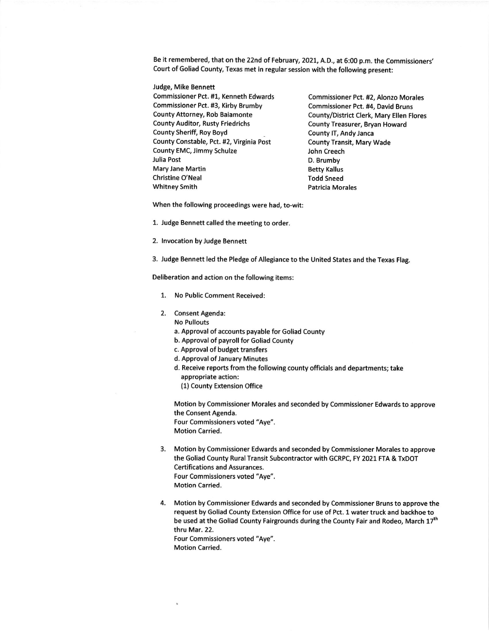Be it remembered, that on the 22nd of February, 2021, A.D., at 6:00 p.m. the Commissioners' Court of Goliad County, Texas met in regular session with the following present:

Judge, Mike Bennett Commissioner Pct. #1, Kenneth Edwards Commissioner Pct. #2, Alonzo Morales Commissioner Pct. #3, Kirby Brumby<br>
Commissioner Pct. #4, David Bruns<br>
County/District Clerk, Mary Ellen Fl County Auditor, Rusty Friedrichs County Treasurer, Bryan Howard County Sheriff, Roy Boyd County IT, Andy Janca County Constable, Pct. #2, Virginia Post County Transit, Mary Wade County EMC, Jimmy Schulze **Gounty County EMC**, Jimmy Schulze Julia Post D. Brumby Mary Jane Martin **Betty Kallus** Betty Kallus Christine O'Neal Todd Sneed Whitney Smith **Patricia Morales** 

County/District Clerk, Mary Ellen Flores

When the following proceedings were had, to-wit:

1. Judge Bennett called the meeting to order.

2. lnvocation by Judge Bennett

3. Judge Bennett led the Pledge of Allegiance to the United States and the Texas Flag.

Deliberation and action on the following items:

- 1. No Public Comment Received:
- 2. Consent Agenda:
	- No Pullouts
		- a. Approval of accounts payable for Goliad County
		- b. Approval of payroll for Goliad County
		- c. Approval of budget transfers
		- d. Approval of January Minutes
		- d. Receive reports from the following county officials and departments; take appropriate action:
			- (1) County Extension Office

Motion by Commissioner Morales and seconded by Commissioner Edwards to approve the Consent Agenda. Four Commissioners voted "Aye".

Motion Carried.

- 3. Motion by Commissioner Edwards and seconded by Commissioner Morales to approve the Goliad County Rural Transit Subcontractor with GCRPC, FY 2021 FTA & TxDOT Certifications and Assurances. Four Commissioners voted "Aye". Motion Carried.
- 4. Motion by Commissioner Edwards and seconded by Commissioner Bruns to approve the request by Goliad County Extension Office for use of Pct. 1 water truck and backhoe to be used at the Goliad County Fairgrounds during the County Fair and Rodeo, March 17<sup>th</sup> thru Mar.22. Four Commissioners voted "Aye".

Motion Carried.